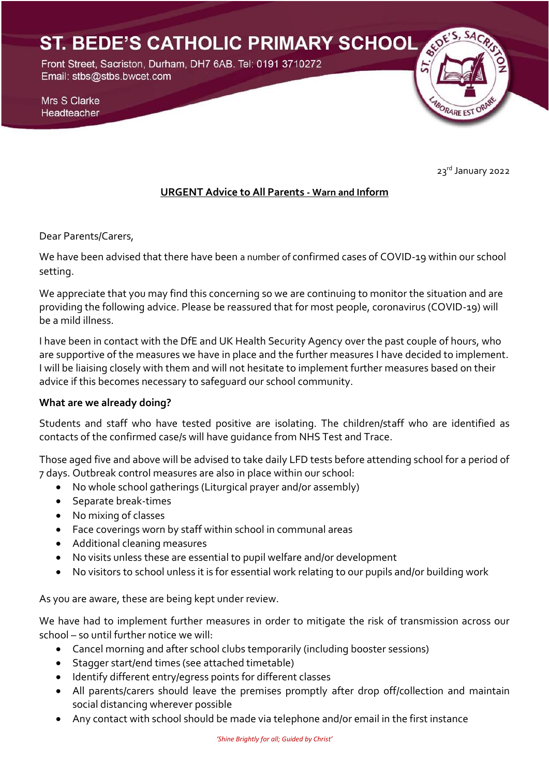ST. BEDE'S CATHOLIC PRIMARY SCHOOL

Front Street, Sacriston, Durham, DH7 6AB. Tel: 0191 3710272 Email: stbs@stbs.bwcet.com

Mrs S Clarke Headteacher

23rd January 2022

BORARE EST OR

### **URGENT Advice to All Parents - Warn and Inform**

Dear Parents/Carers,

We have been advised that there have been a number of confirmed cases of COVID-19 within our school setting.

We appreciate that you may find this concerning so we are continuing to monitor the situation and are providing the following advice. Please be reassured that for most people, coronavirus (COVID-19) will be a mild illness.

I have been in contact with the DfE and UK Health Security Agency over the past couple of hours, who are supportive of the measures we have in place and the further measures I have decided to implement. I will be liaising closely with them and will not hesitate to implement further measures based on their advice if this becomes necessary to safeguard our school community.

#### **What are we already doing?**

Students and staff who have tested positive are isolating. The children/staff who are identified as contacts of the confirmed case/s will have guidance from NHS Test and Trace.

Those aged five and above will be advised to take daily LFD tests before attending school for a period of 7 days. Outbreak control measures are also in place within our school:

- No whole school gatherings (Liturgical prayer and/or assembly)
- Separate break-times
- No mixing of classes
- Face coverings worn by staff within school in communal areas
- Additional cleaning measures
- No visits unless these are essential to pupil welfare and/or development
- No visitors to school unless it is for essential work relating to our pupils and/or building work

As you are aware, these are being kept under review.

We have had to implement further measures in order to mitigate the risk of transmission across our school – so until further notice we will:

- Cancel morning and after school clubs temporarily (including booster sessions)
- Stagger start/end times (see attached timetable)
- Identify different entry/egress points for different classes
- All parents/carers should leave the premises promptly after drop off/collection and maintain social distancing wherever possible
- Any contact with school should be made via telephone and/or email in the first instance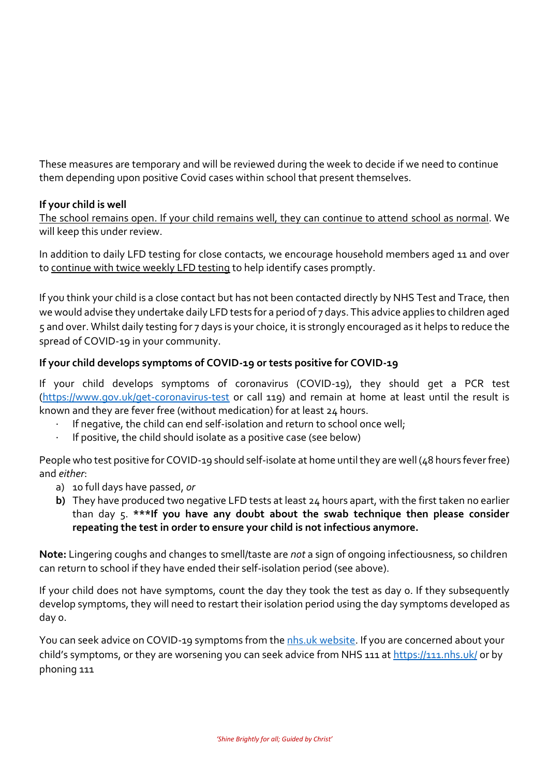These measures are temporary and will be reviewed during the week to decide if we need to continue them depending upon positive Covid cases within school that present themselves.

### **If your child is well**

The school remains open. If your child remains well, they can continue to attend school as normal. We will keep this under review.

In addition to daily LFD testing for close contacts, we encourage household members aged 11 and over to continue with twice weekly LFD testing to help identify cases promptly.

If you think your child is a close contact but has not been contacted directly by NHS Test and Trace, then we would advise they undertake daily LFD tests for a period of 7 days. This advice applies to children aged 5 and over. Whilst daily testing for 7 days is your choice, it is strongly encouraged as it helps to reduce the spread of COVID-19 in your community.

### **If your child develops symptoms of COVID-19 or tests positive for COVID-19**

If your child develops symptoms of coronavirus (COVID-19), they should get a PCR test [\(https://www.gov.uk/get-coronavirus-test](https://www.gov.uk/get-coronavirus-test) or call 119) and remain at home at least until the result is known and they are fever free (without medication) for at least 24 hours.

- If negative, the child can end self-isolation and return to school once well;
- If positive, the child should isolate as a positive case (see below)

People who test positive for COVID-19 should self-isolate at home until they are well (48 hours fever free) and *either*:

- a) 10 full days have passed, *or*
- **b)** They have produced two negative LFD tests at least 24 hours apart, with the first taken no earlier than day 5. **\*\*\*If you have any doubt about the swab technique then please consider repeating the test in order to ensure your child is not infectious anymore.**

**Note:** Lingering coughs and changes to smell/taste are *not* a sign of ongoing infectiousness, so children can return to school if they have ended their self-isolation period (see above).

If your child does not have symptoms, count the day they took the test as day 0. If they subsequently develop symptoms, they will need to restart their isolation period using the day symptoms developed as day 0.

You can seek advice on COVID-19 symptoms from th[e nhs.uk website.](https://www.nhs.uk/conditions/coronavirus-covid-19/check-if-you-have-coronavirus-symptoms/) If you are concerned about your child's symptoms, or they are worsening you can seek advice from NHS 111 a[t https://111.nhs.uk/](https://111.nhs.uk/) or by phoning 111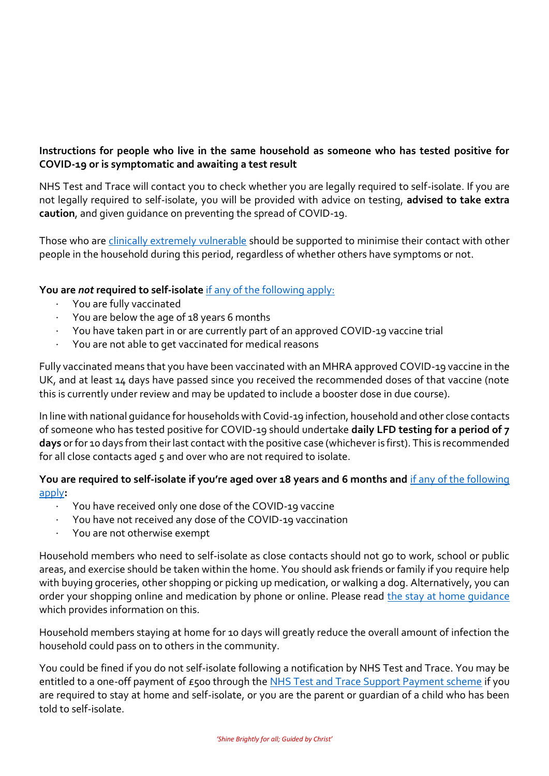## **Instructions for people who live in the same household as someone who has tested positive for COVID-19 or is symptomatic and awaiting a test result**

NHS Test and Trace will contact you to check whether you are legally required to self-isolate. If you are not legally required to self-isolate, you will be provided with advice on testing, **advised to take extra caution**, and given guidance on preventing the spread of COVID-19.

Those who are [clinically extremely vulnerable](https://www.gov.uk/government/publications/guidance-on-shielding-and-protecting-extremely-vulnerable-persons-from-covid-19/guidance-on-shielding-and-protecting-extremely-vulnerable-persons-from-covid-19) should be supported to minimise their contact with other people in the household during this period, regardless of whether others have symptoms or not.

### **You are** *not* **required to self-isolate** [if any of the following apply:](https://www.gov.uk/government/publications/covid-19-stay-at-home-guidance/stay-at-home-guidance-for-households-with-possible-coronavirus-covid-19-infection#exempt)

- You are fully vaccinated
- · You are below the age of 18 years 6 months
- · You have taken part in or are currently part of an approved COVID-19 vaccine trial
- · You are not able to get vaccinated for medical reasons

Fully vaccinated means that you have been vaccinated with an MHRA approved COVID-19 vaccine in the UK, and at least 14 days have passed since you received the recommended doses of that vaccine (note this is currently under review and may be updated to include a booster dose in due course).

In line with national guidance for households with Covid-19 infection, household and other close contacts of someone who has tested positive for COVID-19 should undertake **daily LFD testing for a period of 7 days** or for 10 days from their last contact with the positive case (whichever is first). This is recommended for all close contacts aged 5 and over who are not required to isolate.

### **You are required to self-isolate if you're aged over 18 years and 6 months and** [if any of the following](https://www.nhs.uk/conditions/coronavirus-covid-19/self-isolation-and-treatment/when-to-self-isolate-and-what-to-do/)  [apply](https://www.nhs.uk/conditions/coronavirus-covid-19/self-isolation-and-treatment/when-to-self-isolate-and-what-to-do/)**:**

- · You have received only one dose of the COVID-19 vaccine
- · You have not received any dose of the COVID-19 vaccination
- You are not otherwise exempt

Household members who need to self-isolate as close contacts should not go to work, school or public areas, and exercise should be taken within the home. You should ask friends or family if you require help with buying groceries, other shopping or picking up medication, or walking a dog. Alternatively, you can order your shopping online and medication by phone or online. Please read [the stay at home guidance](https://www.gov.uk/government/publications/covid-19-stay-at-home-guidance/stay-at-home-guidance-for-households-with-possible-coronavirus-covid-19-infection) which provides information on this.

Household members staying at home for 10 days will greatly reduce the overall amount of infection the household could pass on to others in the community.

You could be fined if you do not self-isolate following a notification by NHS Test and Trace. You may be entitled to a one-off payment of £500 through th[e NHS Test and Trace Support Payment scheme](https://www.gov.uk/government/publications/test-and-trace-support-payment-scheme-claiming-financial-support/claiming-financial-support-under-the-test-and-trace-support-payment-scheme) if you are required to stay at home and self-isolate, or you are the parent or guardian of a child who has been told to self-isolate.